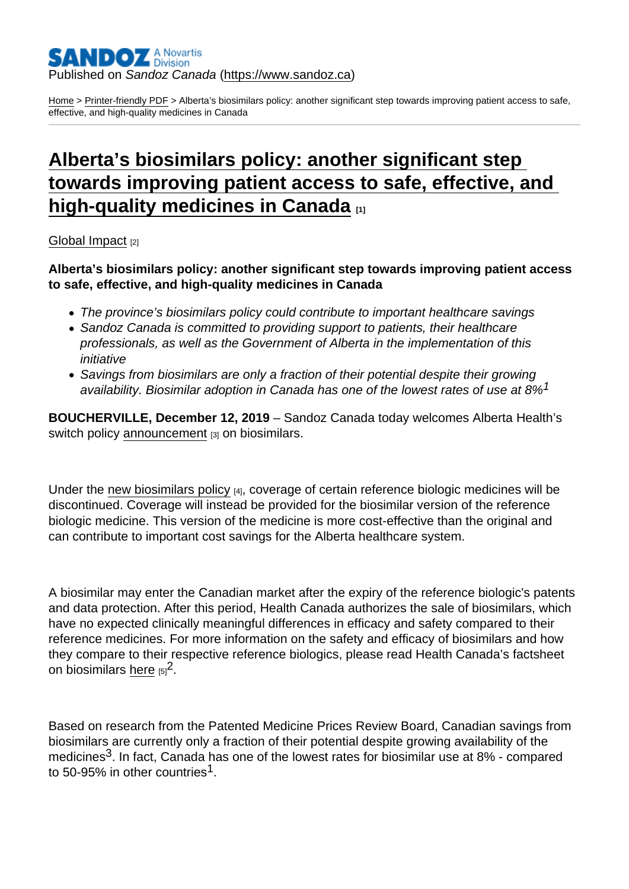## Published on Sandoz Canada [\(https://www.sandoz.ca](https://www.sandoz.ca))

[Home](https://www.sandoz.ca/en) > [Printer-friendly PDF](https://www.sandoz.ca/en/printpdf) > Alberta's biosimilars policy: another significant step towards improving patient access to safe, effective, and high-quality medicines in Canada

## [Alberta's biosimilars policy: another significant step](https://www.sandoz.ca/en/stories/global-impact/alberta)  [towards improving patient access to safe, effective, and](https://www.sandoz.ca/en/stories/global-impact/alberta)  [high-quality medicines in Canada](https://www.sandoz.ca/en/stories/global-impact/alberta)  $_{11}$

## [Global Impact](https://www.sandoz.ca/en/stories/global-impact) [2]

Alberta's biosimilars policy: another significant step towards improving patient access to safe, effective, and high-quality medicines in Canada

- The province's biosimilars policy could contribute to important healthcare savings
- Sandoz Canada is committed to providing support to patients, their healthcare professionals, as well as the Government of Alberta in the implementation of this initiative
- Savings from biosimilars are only a fraction of their potential despite their growing availability. Biosimilar adoption in Canada has one of the lowest rates of use at 8%<sup>1</sup>

BOUCHERVILLE, December 12, 2019 – Sandoz Canada today welcomes Alberta Health's switch policy [announcement](https://www.alberta.ca/release.cfm?xID=67300D37177B0-CFD0-440F-CCBA177C758B8061) [3] on biosimilars.

Under the [new biosimilars policy](https://www.ab.bluecross.ca/government-plan/biosimilar-initiative.php) [4], coverage of certain reference biologic medicines will be discontinued. Coverage will instead be provided for the biosimilar version of the reference biologic medicine. This version of the medicine is more cost-effective than the original and can contribute to important cost savings for the Alberta healthcare system.

A biosimilar may enter the Canadian market after the expiry of the reference biologic's patents and data protection. After this period, Health Canada authorizes the sale of biosimilars, which have no expected clinically meaningful differences in efficacy and safety compared to their reference medicines. For more information on the safety and efficacy of biosimilars and how they compare to their respective reference biologics, please read Health Canada's factsheet on biosimilars [here](https://www.canada.ca/en/health-canada/services/drugs-health-products/biologics-radiopharmaceuticals-genetic-therapies/applications-submissions/guidance-documents/fact-sheet-biosimilars.html)  $_{[5]}^2$ .

Based on research from the Patented Medicine Prices Review Board, Canadian savings from biosimilars are currently only a fraction of their potential despite growing availability of the medicines<sup>3</sup>. In fact, Canada has one of the lowest rates for biosimilar use at 8% - compared to 50-95% in other countries<sup>1</sup>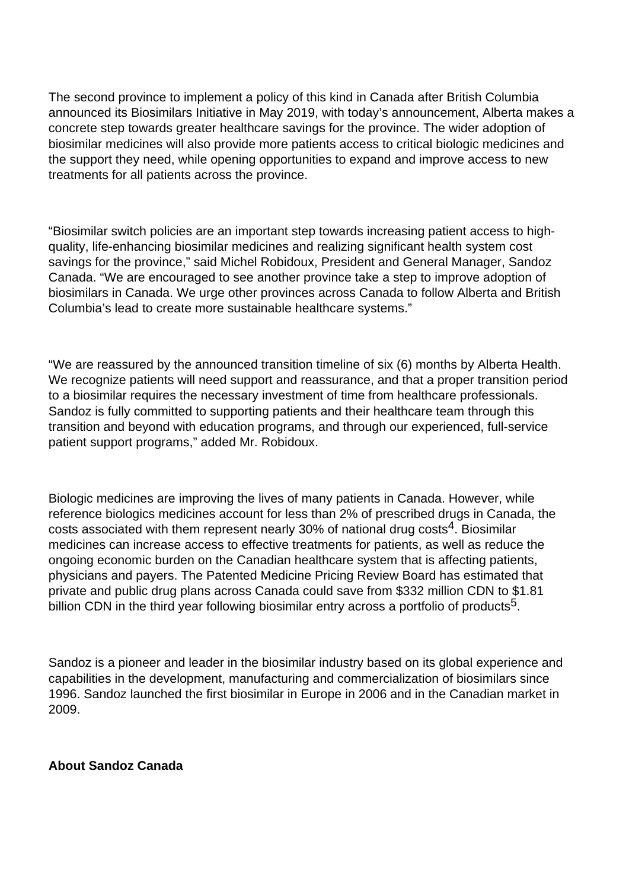The second province to implement a policy of this kind in Canada after British Columbia announced its Biosimilars Initiative in May 2019, with today's announcement, Alberta makes a concrete step towards greater healthcare savings for the province. The wider adoption of biosimilar medicines will also provide more patients access to critical biologic medicines and the support they need, while opening opportunities to expand and improve access to new treatments for all patients across the province.

"Biosimilar switch policies are an important step towards increasing patient access to highquality, life-enhancing biosimilar medicines and realizing significant health system cost savings for the province," said Michel Robidoux, President and General Manager, Sandoz Canada. "We are encouraged to see another province take a step to improve adoption of biosimilars in Canada. We urge other provinces across Canada to follow Alberta and British Columbia's lead to create more sustainable healthcare systems."

"We are reassured by the announced transition timeline of six (6) months by Alberta Health. We recognize patients will need support and reassurance, and that a proper transition period to a biosimilar requires the necessary investment of time from healthcare professionals. Sandoz is fully committed to supporting patients and their healthcare team through this transition and beyond with education programs, and through our experienced, full-service patient support programs," added Mr. Robidoux.

Biologic medicines are improving the lives of many patients in Canada. However, while reference biologics medicines account for less than 2% of prescribed drugs in Canada, the costs associated with them represent nearly 30% of national drug costs<sup>4</sup>. Biosimilar medicines can increase access to effective treatments for patients, as well as reduce the ongoing economic burden on the Canadian healthcare system that is affecting patients, physicians and payers. The Patented Medicine Pricing Review Board has estimated that private and public drug plans across Canada could save from \$332 million CDN to \$1.81 billion CDN in the third year following biosimilar entry across a portfolio of products<sup>5</sup>.

Sandoz is a pioneer and leader in the biosimilar industry based on its global experience and capabilities in the development, manufacturing and commercialization of biosimilars since 1996. Sandoz launched the first biosimilar in Europe in 2006 and in the Canadian market in 2009.

## **About Sandoz Canada**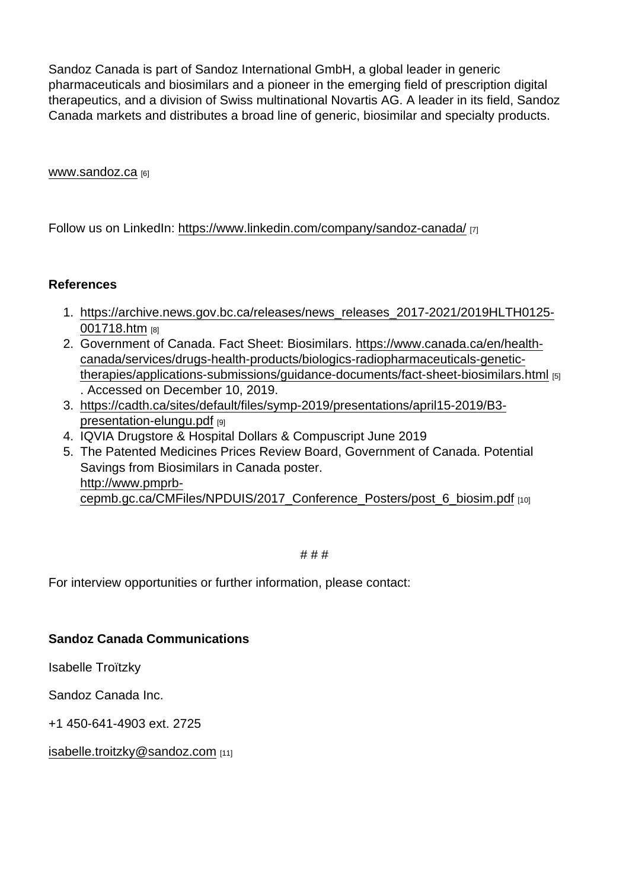Sandoz Canada is part of Sandoz International GmbH, a global leader in generic pharmaceuticals and biosimilars and a pioneer in the emerging field of prescription digital therapeutics, and a division of Swiss multinational Novartis AG. A leader in its field, Sandoz Canada markets and distributes a broad line of generic, biosimilar and specialty products.

www.sandoz.ca [6]

Follow us on LinkedIn: https://www.linkedin.com/company/sandoz-canada/ [7]

References

- 1. [https://archive.news.gov.bc.ca/releases/news\\_releases\\_2017-2021/2019HLTH0125-](https://archive.news.gov.bc.ca/releases/news_releases_2017-2021/2019HLTH0125-001718.htm) [001718.htm](https://archive.news.gov.bc.ca/releases/news_releases_2017-2021/2019HLTH0125-001718.htm) [8]
- 2. Government of Canada. Fact Sheet: Biosimilars. https://www.canada.ca/en/healthcanada/services/drugs-health-products/biologics-radiopharmaceuticals-genetictherapies/applications-submissions/guidance-documents/fact-sheet-biosimilars.html [5] . Accessed on December 10, 2019.
- 3. [https://cadth.ca/sites/default/files/symp-2019/presentations/april15-2019/B3](https://cadth.ca/sites/default/files/symp-2019/presentations/april15-2019/B3-presentation-elungu.pdf) [presentation-elungu.pdf](https://cadth.ca/sites/default/files/symp-2019/presentations/april15-2019/B3-presentation-elungu.pdf) [9]
- 4. IQVIA Drugstore & Hospital Dollars & Compuscript June 2019
- 5. The Patented Medicines Prices Review Board, Government of Canada. Potential Savings from Biosimilars in Canada poster. [http://www.pmprb](http://www.pmprb-cepmb.gc.ca/CMFiles/NPDUIS/2017_Conference_Posters/post_6_biosim.pdf)[cepmb.gc.ca/CMFiles/NPDUIS/2017\\_Conference\\_Posters/post\\_6\\_biosim.pdf](http://www.pmprb-cepmb.gc.ca/CMFiles/NPDUIS/2017_Conference_Posters/post_6_biosim.pdf) [10]

# # #

For interview opportunities or further information, please contact:

Sandoz Canada Communications

Isabelle Troïtzky

Sandoz Canada Inc.

+1 450-641-4903 ext. 2725

[isabelle.troitzky@sandoz.com](mailto:isabelle.troitzky@sandoz.com) [11]